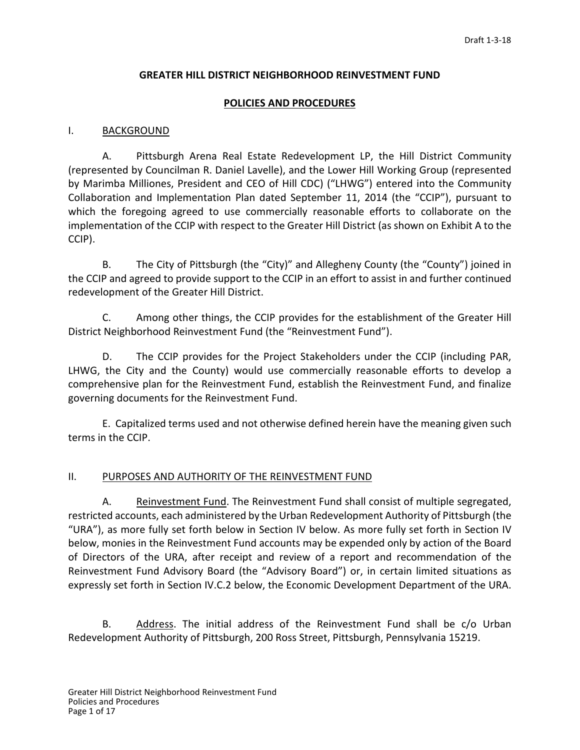### GREATER HILL DISTRICT NEIGHBORHOOD REINVESTMENT FUND

### POLICIES AND PROCEDURES

#### I. BACKGROUND

 A. Pittsburgh Arena Real Estate Redevelopment LP, the Hill District Community (represented by Councilman R. Daniel Lavelle), and the Lower Hill Working Group (represented by Marimba Milliones, President and CEO of Hill CDC) ("LHWG") entered into the Community Collaboration and Implementation Plan dated September 11, 2014 (the "CCIP"), pursuant to which the foregoing agreed to use commercially reasonable efforts to collaborate on the implementation of the CCIP with respect to the Greater Hill District (as shown on Exhibit A to the CCIP).

 B. The City of Pittsburgh (the "City)" and Allegheny County (the "County") joined in the CCIP and agreed to provide support to the CCIP in an effort to assist in and further continued redevelopment of the Greater Hill District.

 C. Among other things, the CCIP provides for the establishment of the Greater Hill District Neighborhood Reinvestment Fund (the "Reinvestment Fund").

 D. The CCIP provides for the Project Stakeholders under the CCIP (including PAR, LHWG, the City and the County) would use commercially reasonable efforts to develop a comprehensive plan for the Reinvestment Fund, establish the Reinvestment Fund, and finalize governing documents for the Reinvestment Fund.

 E. Capitalized terms used and not otherwise defined herein have the meaning given such terms in the CCIP.

### II. PURPOSES AND AUTHORITY OF THE REINVESTMENT FUND

 A. Reinvestment Fund. The Reinvestment Fund shall consist of multiple segregated, restricted accounts, each administered by the Urban Redevelopment Authority of Pittsburgh (the "URA"), as more fully set forth below in Section IV below. As more fully set forth in Section IV below, monies in the Reinvestment Fund accounts may be expended only by action of the Board of Directors of the URA, after receipt and review of a report and recommendation of the Reinvestment Fund Advisory Board (the "Advisory Board") or, in certain limited situations as expressly set forth in Section IV.C.2 below, the Economic Development Department of the URA.

 B. Address. The initial address of the Reinvestment Fund shall be c/o Urban Redevelopment Authority of Pittsburgh, 200 Ross Street, Pittsburgh, Pennsylvania 15219.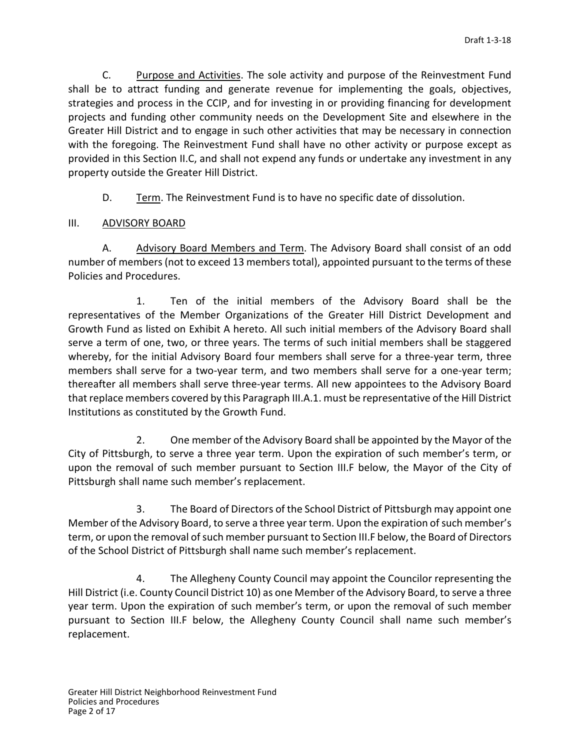C. Purpose and Activities. The sole activity and purpose of the Reinvestment Fund shall be to attract funding and generate revenue for implementing the goals, objectives, strategies and process in the CCIP, and for investing in or providing financing for development projects and funding other community needs on the Development Site and elsewhere in the Greater Hill District and to engage in such other activities that may be necessary in connection with the foregoing. The Reinvestment Fund shall have no other activity or purpose except as provided in this Section II.C, and shall not expend any funds or undertake any investment in any property outside the Greater Hill District.

D. Term. The Reinvestment Fund is to have no specific date of dissolution.

## III. ADVISORY BOARD

A. Advisory Board Members and Term. The Advisory Board shall consist of an odd number of members (not to exceed 13 members total), appointed pursuant to the terms of these Policies and Procedures.

1. Ten of the initial members of the Advisory Board shall be the representatives of the Member Organizations of the Greater Hill District Development and Growth Fund as listed on Exhibit A hereto. All such initial members of the Advisory Board shall serve a term of one, two, or three years. The terms of such initial members shall be staggered whereby, for the initial Advisory Board four members shall serve for a three-year term, three members shall serve for a two-year term, and two members shall serve for a one-year term; thereafter all members shall serve three-year terms. All new appointees to the Advisory Board that replace members covered by this Paragraph III.A.1. must be representative of the Hill District Institutions as constituted by the Growth Fund.

2. One member of the Advisory Board shall be appointed by the Mayor of the City of Pittsburgh, to serve a three year term. Upon the expiration of such member's term, or upon the removal of such member pursuant to Section III.F below, the Mayor of the City of Pittsburgh shall name such member's replacement.

3. The Board of Directors of the School District of Pittsburgh may appoint one Member of the Advisory Board, to serve a three year term. Upon the expiration of such member's term, or upon the removal of such member pursuant to Section III.F below, the Board of Directors of the School District of Pittsburgh shall name such member's replacement.

4. The Allegheny County Council may appoint the Councilor representing the Hill District (i.e. County Council District 10) as one Member of the Advisory Board, to serve a three year term. Upon the expiration of such member's term, or upon the removal of such member pursuant to Section III.F below, the Allegheny County Council shall name such member's replacement.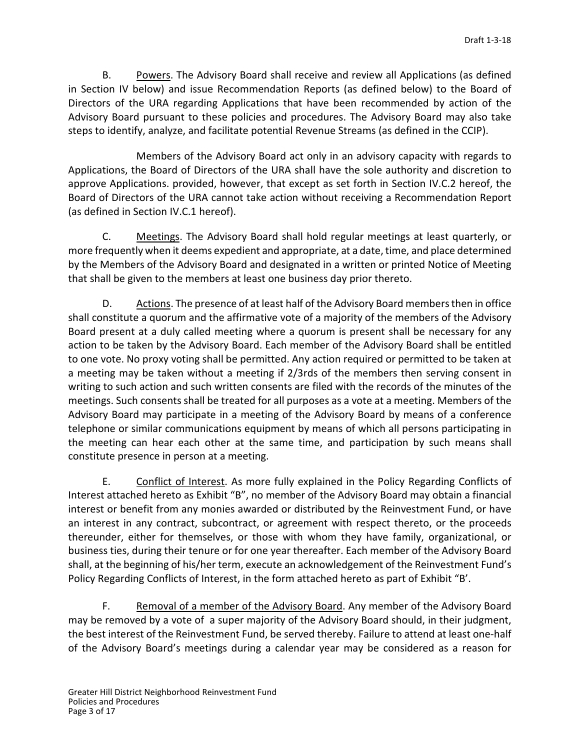B. Powers. The Advisory Board shall receive and review all Applications (as defined in Section IV below) and issue Recommendation Reports (as defined below) to the Board of Directors of the URA regarding Applications that have been recommended by action of the Advisory Board pursuant to these policies and procedures. The Advisory Board may also take steps to identify, analyze, and facilitate potential Revenue Streams (as defined in the CCIP).

 Members of the Advisory Board act only in an advisory capacity with regards to Applications, the Board of Directors of the URA shall have the sole authority and discretion to approve Applications. provided, however, that except as set forth in Section IV.C.2 hereof, the Board of Directors of the URA cannot take action without receiving a Recommendation Report (as defined in Section IV.C.1 hereof).

 C. Meetings. The Advisory Board shall hold regular meetings at least quarterly, or more frequently when it deems expedient and appropriate, at a date, time, and place determined by the Members of the Advisory Board and designated in a written or printed Notice of Meeting that shall be given to the members at least one business day prior thereto.

 D. Actions. The presence of at least half of the Advisory Board members then in office shall constitute a quorum and the affirmative vote of a majority of the members of the Advisory Board present at a duly called meeting where a quorum is present shall be necessary for any action to be taken by the Advisory Board. Each member of the Advisory Board shall be entitled to one vote. No proxy voting shall be permitted. Any action required or permitted to be taken at a meeting may be taken without a meeting if 2/3rds of the members then serving consent in writing to such action and such written consents are filed with the records of the minutes of the meetings. Such consents shall be treated for all purposes as a vote at a meeting. Members of the Advisory Board may participate in a meeting of the Advisory Board by means of a conference telephone or similar communications equipment by means of which all persons participating in the meeting can hear each other at the same time, and participation by such means shall constitute presence in person at a meeting.

 E. Conflict of Interest. As more fully explained in the Policy Regarding Conflicts of Interest attached hereto as Exhibit "B", no member of the Advisory Board may obtain a financial interest or benefit from any monies awarded or distributed by the Reinvestment Fund, or have an interest in any contract, subcontract, or agreement with respect thereto, or the proceeds thereunder, either for themselves, or those with whom they have family, organizational, or business ties, during their tenure or for one year thereafter. Each member of the Advisory Board shall, at the beginning of his/her term, execute an acknowledgement of the Reinvestment Fund's Policy Regarding Conflicts of Interest, in the form attached hereto as part of Exhibit "B'.

 F. Removal of a member of the Advisory Board. Any member of the Advisory Board may be removed by a vote of a super majority of the Advisory Board should, in their judgment, the best interest of the Reinvestment Fund, be served thereby. Failure to attend at least one-half of the Advisory Board's meetings during a calendar year may be considered as a reason for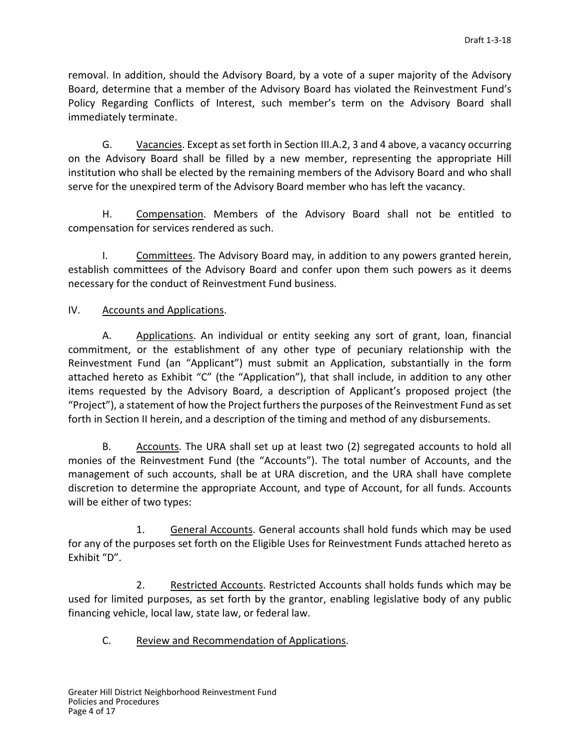removal. In addition, should the Advisory Board, by a vote of a super majority of the Advisory Board, determine that a member of the Advisory Board has violated the Reinvestment Fund's Policy Regarding Conflicts of Interest, such member's term on the Advisory Board shall immediately terminate.

 G. Vacancies. Except as set forth in Section III.A.2, 3 and 4 above, a vacancy occurring on the Advisory Board shall be filled by a new member, representing the appropriate Hill institution who shall be elected by the remaining members of the Advisory Board and who shall serve for the unexpired term of the Advisory Board member who has left the vacancy.

 H. Compensation. Members of the Advisory Board shall not be entitled to compensation for services rendered as such.

 I. Committees. The Advisory Board may, in addition to any powers granted herein, establish committees of the Advisory Board and confer upon them such powers as it deems necessary for the conduct of Reinvestment Fund business.

### IV. Accounts and Applications.

 A. Applications. An individual or entity seeking any sort of grant, loan, financial commitment, or the establishment of any other type of pecuniary relationship with the Reinvestment Fund (an "Applicant") must submit an Application, substantially in the form attached hereto as Exhibit "C" (the "Application"), that shall include, in addition to any other items requested by the Advisory Board, a description of Applicant's proposed project (the "Project"), a statement of how the Project furthers the purposes of the Reinvestment Fund as set forth in Section II herein, and a description of the timing and method of any disbursements.

 B. Accounts. The URA shall set up at least two (2) segregated accounts to hold all monies of the Reinvestment Fund (the "Accounts"). The total number of Accounts, and the management of such accounts, shall be at URA discretion, and the URA shall have complete discretion to determine the appropriate Account, and type of Account, for all funds. Accounts will be either of two types:

 1. General Accounts. General accounts shall hold funds which may be used for any of the purposes set forth on the Eligible Uses for Reinvestment Funds attached hereto as Exhibit "D".

 2. Restricted Accounts. Restricted Accounts shall holds funds which may be used for limited purposes, as set forth by the grantor, enabling legislative body of any public financing vehicle, local law, state law, or federal law.

## C. Review and Recommendation of Applications.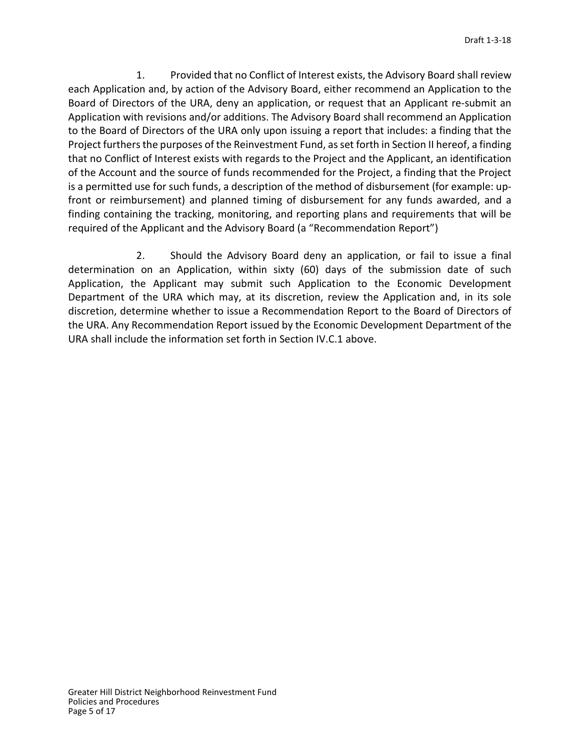1. Provided that no Conflict of Interest exists, the Advisory Board shall review each Application and, by action of the Advisory Board, either recommend an Application to the Board of Directors of the URA, deny an application, or request that an Applicant re-submit an Application with revisions and/or additions. The Advisory Board shall recommend an Application to the Board of Directors of the URA only upon issuing a report that includes: a finding that the Project furthers the purposes of the Reinvestment Fund, as set forth in Section II hereof, a finding that no Conflict of Interest exists with regards to the Project and the Applicant, an identification of the Account and the source of funds recommended for the Project, a finding that the Project is a permitted use for such funds, a description of the method of disbursement (for example: upfront or reimbursement) and planned timing of disbursement for any funds awarded, and a finding containing the tracking, monitoring, and reporting plans and requirements that will be required of the Applicant and the Advisory Board (a "Recommendation Report")

 2. Should the Advisory Board deny an application, or fail to issue a final determination on an Application, within sixty (60) days of the submission date of such Application, the Applicant may submit such Application to the Economic Development Department of the URA which may, at its discretion, review the Application and, in its sole discretion, determine whether to issue a Recommendation Report to the Board of Directors of the URA. Any Recommendation Report issued by the Economic Development Department of the URA shall include the information set forth in Section IV.C.1 above.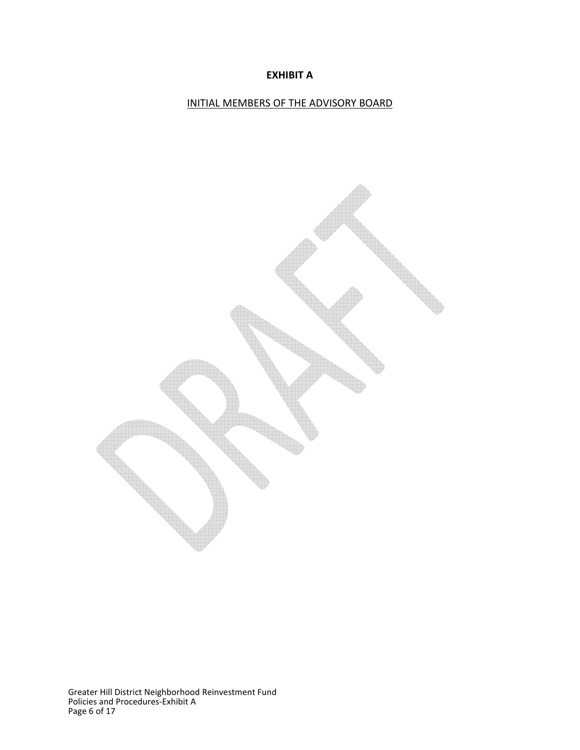### EXHIBIT A

# INITIAL MEMBERS OF THE ADVISORY BOARD

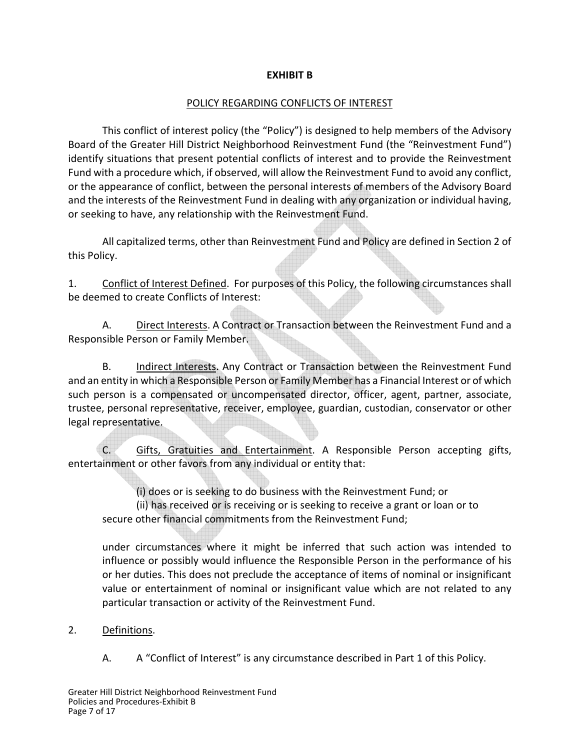### EXHIBIT B

### POLICY REGARDING CONFLICTS OF INTEREST

 This conflict of interest policy (the "Policy") is designed to help members of the Advisory Board of the Greater Hill District Neighborhood Reinvestment Fund (the "Reinvestment Fund") identify situations that present potential conflicts of interest and to provide the Reinvestment Fund with a procedure which, if observed, will allow the Reinvestment Fund to avoid any conflict, or the appearance of conflict, between the personal interests of members of the Advisory Board and the interests of the Reinvestment Fund in dealing with any organization or individual having, or seeking to have, any relationship with the Reinvestment Fund.

 All capitalized terms, other than Reinvestment Fund and Policy are defined in Section 2 of this Policy.

1. Conflict of Interest Defined. For purposes of this Policy, the following circumstances shall be deemed to create Conflicts of Interest:

 A. Direct Interests. A Contract or Transaction between the Reinvestment Fund and a Responsible Person or Family Member.

B. Indirect Interests. Any Contract or Transaction between the Reinvestment Fund and an entity in which a Responsible Person or Family Member has a Financial Interest or of which such person is a compensated or uncompensated director, officer, agent, partner, associate, trustee, personal representative, receiver, employee, guardian, custodian, conservator or other legal representative.

 C. Gifts, Gratuities and Entertainment. A Responsible Person accepting gifts, entertainment or other favors from any individual or entity that:

(i) does or is seeking to do business with the Reinvestment Fund; or

 (ii) has received or is receiving or is seeking to receive a grant or loan or to secure other financial commitments from the Reinvestment Fund;

under circumstances where it might be inferred that such action was intended to influence or possibly would influence the Responsible Person in the performance of his or her duties. This does not preclude the acceptance of items of nominal or insignificant value or entertainment of nominal or insignificant value which are not related to any particular transaction or activity of the Reinvestment Fund.

- 2. Definitions.
	- A. A "Conflict of Interest" is any circumstance described in Part 1 of this Policy.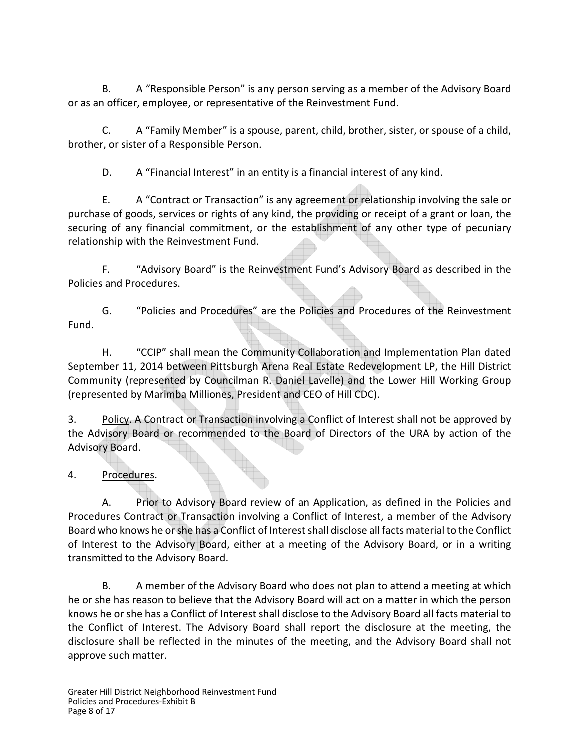B. A "Responsible Person" is any person serving as a member of the Advisory Board or as an officer, employee, or representative of the Reinvestment Fund.

 C. A "Family Member" is a spouse, parent, child, brother, sister, or spouse of a child, brother, or sister of a Responsible Person.

D. A "Financial Interest" in an entity is a financial interest of any kind.

 E. A "Contract or Transaction" is any agreement or relationship involving the sale or purchase of goods, services or rights of any kind, the providing or receipt of a grant or loan, the securing of any financial commitment, or the establishment of any other type of pecuniary relationship with the Reinvestment Fund.

 F. "Advisory Board" is the Reinvestment Fund's Advisory Board as described in the Policies and Procedures.

 G. "Policies and Procedures" are the Policies and Procedures of the Reinvestment Fund.

 H. "CCIP" shall mean the Community Collaboration and Implementation Plan dated September 11, 2014 between Pittsburgh Arena Real Estate Redevelopment LP, the Hill District Community (represented by Councilman R. Daniel Lavelle) and the Lower Hill Working Group (represented by Marimba Milliones, President and CEO of Hill CDC).

3. Policy. A Contract or Transaction involving a Conflict of Interest shall not be approved by the Advisory Board or recommended to the Board of Directors of the URA by action of the Advisory Board.

4. Procedures.

 A. Prior to Advisory Board review of an Application, as defined in the Policies and Procedures Contract or Transaction involving a Conflict of Interest, a member of the Advisory Board who knows he or she has a Conflict of Interest shall disclose all facts material to the Conflict of Interest to the Advisory Board, either at a meeting of the Advisory Board, or in a writing transmitted to the Advisory Board.

 B. A member of the Advisory Board who does not plan to attend a meeting at which he or she has reason to believe that the Advisory Board will act on a matter in which the person knows he or she has a Conflict of Interest shall disclose to the Advisory Board all facts material to the Conflict of Interest. The Advisory Board shall report the disclosure at the meeting, the disclosure shall be reflected in the minutes of the meeting, and the Advisory Board shall not approve such matter.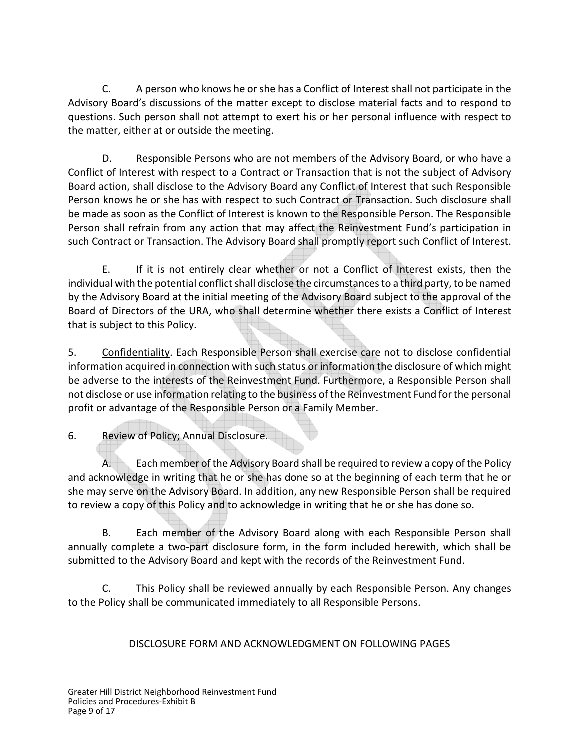C. A person who knows he or she has a Conflict of Interest shall not participate in the Advisory Board's discussions of the matter except to disclose material facts and to respond to questions. Such person shall not attempt to exert his or her personal influence with respect to the matter, either at or outside the meeting.

 D. Responsible Persons who are not members of the Advisory Board, or who have a Conflict of Interest with respect to a Contract or Transaction that is not the subject of Advisory Board action, shall disclose to the Advisory Board any Conflict of Interest that such Responsible Person knows he or she has with respect to such Contract or Transaction. Such disclosure shall be made as soon as the Conflict of Interest is known to the Responsible Person. The Responsible Person shall refrain from any action that may affect the Reinvestment Fund's participation in such Contract or Transaction. The Advisory Board shall promptly report such Conflict of Interest.

 E. If it is not entirely clear whether or not a Conflict of Interest exists, then the individual with the potential conflict shall disclose the circumstances to a third party, to be named by the Advisory Board at the initial meeting of the Advisory Board subject to the approval of the Board of Directors of the URA, who shall determine whether there exists a Conflict of Interest that is subject to this Policy.

5. Confidentiality. Each Responsible Person shall exercise care not to disclose confidential information acquired in connection with such status or information the disclosure of which might be adverse to the interests of the Reinvestment Fund. Furthermore, a Responsible Person shall not disclose or use information relating to the business of the Reinvestment Fund for the personal profit or advantage of the Responsible Person or a Family Member.

## 6. Review of Policy; Annual Disclosure.

 A. Each member of the Advisory Board shall be required to review a copy of the Policy and acknowledge in writing that he or she has done so at the beginning of each term that he or she may serve on the Advisory Board. In addition, any new Responsible Person shall be required to review a copy of this Policy and to acknowledge in writing that he or she has done so.

 B. Each member of the Advisory Board along with each Responsible Person shall annually complete a two-part disclosure form, in the form included herewith, which shall be submitted to the Advisory Board and kept with the records of the Reinvestment Fund.

 C. This Policy shall be reviewed annually by each Responsible Person. Any changes to the Policy shall be communicated immediately to all Responsible Persons.

## DISCLOSURE FORM AND ACKNOWLEDGMENT ON FOLLOWING PAGES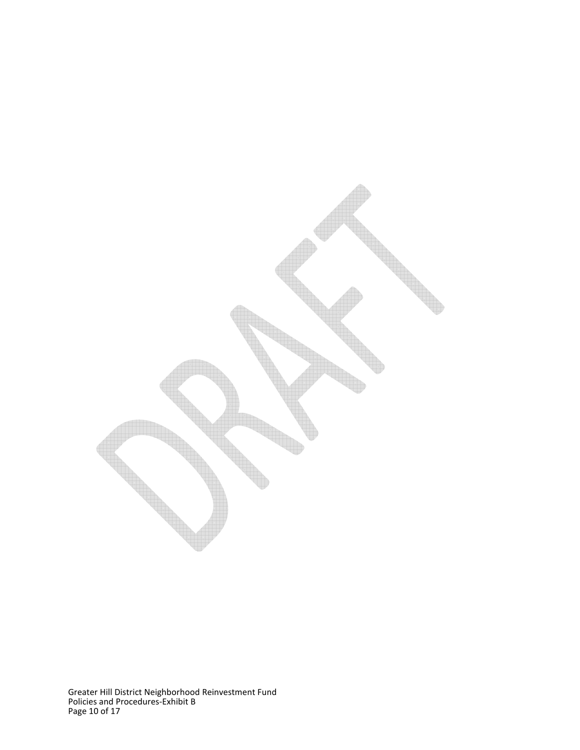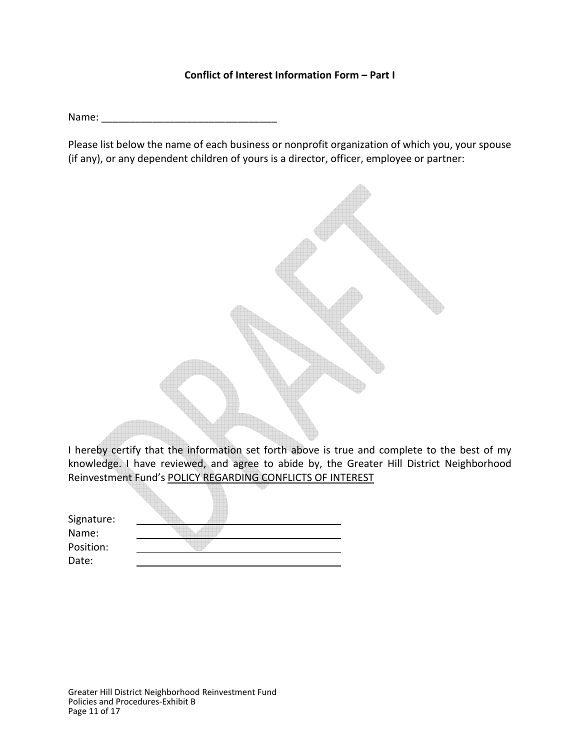### Conflict of Interest Information Form – Part I

Name:  $\blacksquare$ 

Please list below the name of each business or nonprofit organization of which you, your spouse (if any), or any dependent children of yours is a director, officer, employee or partner:



I hereby certify that the information set forth above is true and complete to the best of my knowledge. I have reviewed, and agree to abide by, the Greater Hill District Neighborhood Reinvestment Fund's POLICY REGARDING CONFLICTS OF INTEREST

| Signature: |  |  |  |
|------------|--|--|--|
| Name:      |  |  |  |
| Position:  |  |  |  |
| Date:      |  |  |  |

4111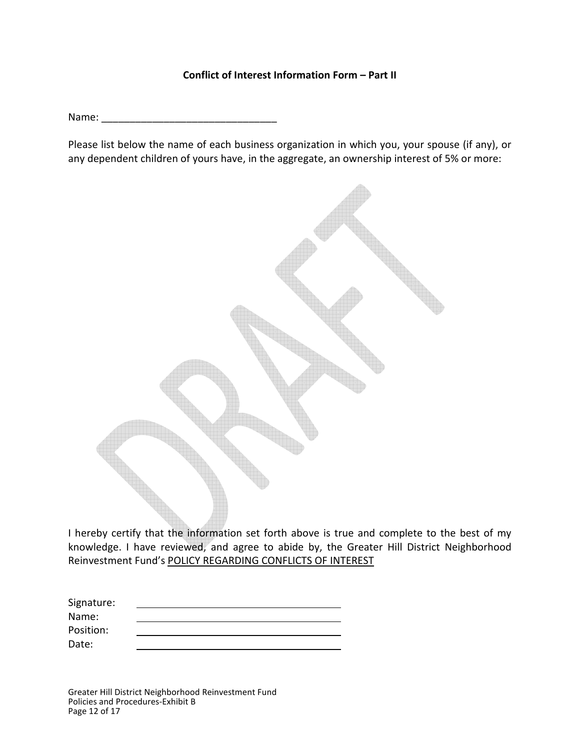### Conflict of Interest Information Form – Part II

Name:  $\blacksquare$ 

Please list below the name of each business organization in which you, your spouse (if any), or any dependent children of yours have, in the aggregate, an ownership interest of 5% or more:



I hereby certify that the information set forth above is true and complete to the best of my knowledge. I have reviewed, and agree to abide by, the Greater Hill District Neighborhood Reinvestment Fund's POLICY REGARDING CONFLICTS OF INTEREST

| Signature: |  |
|------------|--|
| Name:      |  |
| Position:  |  |
| Date:      |  |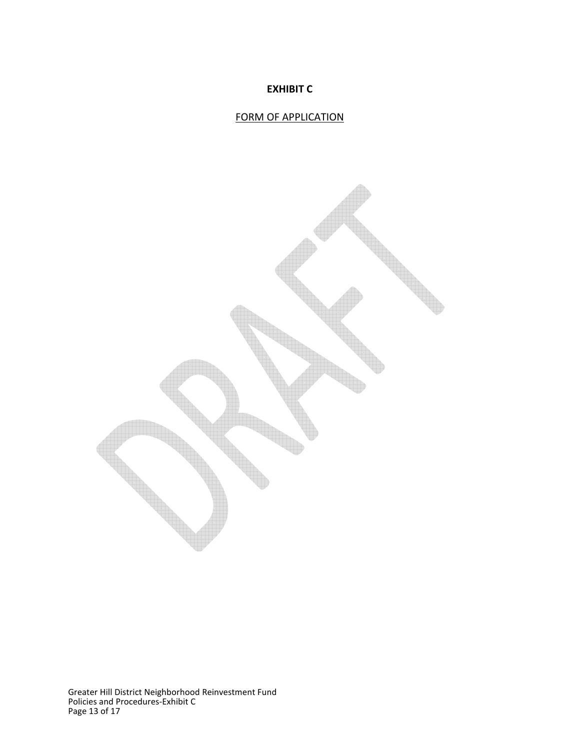### EXHIBIT C

## FORM OF APPLICATION

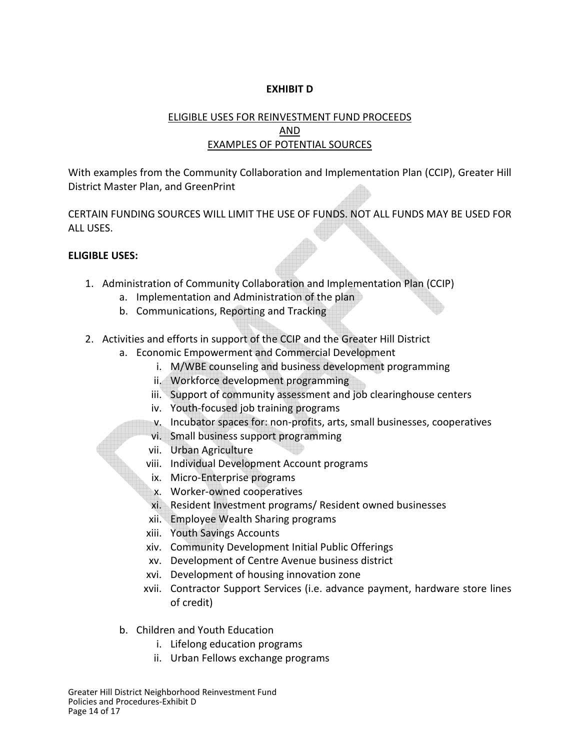### EXHIBIT D

## ELIGIBLE USES FOR REINVESTMENT FUND PROCEEDS AND EXAMPLES OF POTENTIAL SOURCES

With examples from the Community Collaboration and Implementation Plan (CCIP), Greater Hill District Master Plan, and GreenPrint

CERTAIN FUNDING SOURCES WILL LIMIT THE USE OF FUNDS. NOT ALL FUNDS MAY BE USED FOR ALL USES.

### ELIGIBLE USES:

- 1. Administration of Community Collaboration and Implementation Plan (CCIP)
	- a. Implementation and Administration of the plan
	- b. Communications, Reporting and Tracking
- 2. Activities and efforts in support of the CCIP and the Greater Hill District
	- a. Economic Empowerment and Commercial Development
		- i. M/WBE counseling and business development programming
		- ii. Workforce development programming
		- iii. Support of community assessment and job clearinghouse centers
		- iv. Youth-focused job training programs
		- v. Incubator spaces for: non-profits, arts, small businesses, cooperatives
		- vi. Small business support programming
		- vii. Urban Agriculture
		- viii. Individual Development Account programs
		- ix. Micro-Enterprise programs
		- x. Worker-owned cooperatives
		- xi. Resident Investment programs/ Resident owned businesses
		- xii. Employee Wealth Sharing programs
		- xiii. Youth Savings Accounts
		- xiv. Community Development Initial Public Offerings
		- xv. Development of Centre Avenue business district
		- xvi. Development of housing innovation zone
		- xvii. Contractor Support Services (i.e. advance payment, hardware store lines of credit)
	- b. Children and Youth Education
		- i. Lifelong education programs
		- ii. Urban Fellows exchange programs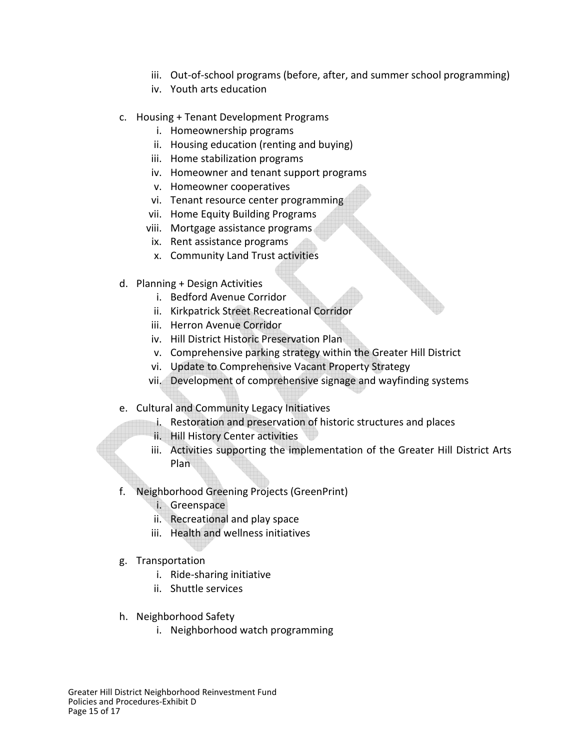- iii. Out-of-school programs (before, after, and summer school programming)
- iv. Youth arts education
- c. Housing + Tenant Development Programs
	- i. Homeownership programs
	- ii. Housing education (renting and buying)
	- iii. Home stabilization programs
	- iv. Homeowner and tenant support programs
	- v. Homeowner cooperatives
	- vi. Tenant resource center programming
	- vii. Home Equity Building Programs
	- viii. Mortgage assistance programs
	- ix. Rent assistance programs
	- x. Community Land Trust activities
- d. Planning + Design Activities
	- i. Bedford Avenue Corridor
	- ii. Kirkpatrick Street Recreational Corridor
	- iii. Herron Avenue Corridor
	- iv. Hill District Historic Preservation Plan
	- v. Comprehensive parking strategy within the Greater Hill District
	- vi. Update to Comprehensive Vacant Property Strategy
	- vii. Development of comprehensive signage and wayfinding systems
- e. Cultural and Community Legacy Initiatives
	- i. Restoration and preservation of historic structures and places
	- ii. Hill History Center activities
	- iii. Activities supporting the implementation of the Greater Hill District Arts Plan
- f. Neighborhood Greening Projects (GreenPrint)
	- i. Greenspace
	- ii. Recreational and play space
	- iii. Health and wellness initiatives
- g. Transportation
	- i. Ride-sharing initiative
	- ii. Shuttle services
- h. Neighborhood Safety
	- i. Neighborhood watch programming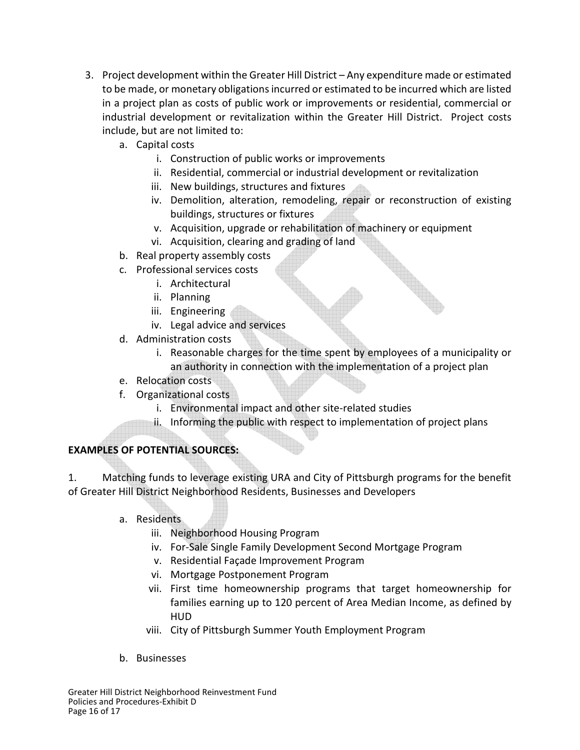- 3. Project development within the Greater Hill District Any expenditure made or estimated to be made, or monetary obligations incurred or estimated to be incurred which are listed in a project plan as costs of public work or improvements or residential, commercial or industrial development or revitalization within the Greater Hill District. Project costs include, but are not limited to:
	- a. Capital costs
		- i. Construction of public works or improvements
		- ii. Residential, commercial or industrial development or revitalization
		- iii. New buildings, structures and fixtures
		- iv. Demolition, alteration, remodeling, repair or reconstruction of existing buildings, structures or fixtures
		- v. Acquisition, upgrade or rehabilitation of machinery or equipment
		- vi. Acquisition, clearing and grading of land
	- b. Real property assembly costs
	- c. Professional services costs
		- i. Architectural
		- ii. Planning
		- iii. Engineering
		- iv. Legal advice and services
	- d. Administration costs
		- i. Reasonable charges for the time spent by employees of a municipality or an authority in connection with the implementation of a project plan
	- e. Relocation costs
	- f. Organizational costs
		- i. Environmental impact and other site-related studies
		- ii. Informing the public with respect to implementation of project plans

## EXAMPLES OF POTENTIAL SOURCES:

1. Matching funds to leverage existing URA and City of Pittsburgh programs for the benefit of Greater Hill District Neighborhood Residents, Businesses and Developers

- a. Residents
	- iii. Neighborhood Housing Program
	- iv. For-Sale Single Family Development Second Mortgage Program
	- v. Residential Façade Improvement Program
	- vi. Mortgage Postponement Program
	- vii. First time homeownership programs that target homeownership for families earning up to 120 percent of Area Median Income, as defined by **HUD**
	- viii. City of Pittsburgh Summer Youth Employment Program
- b. Businesses